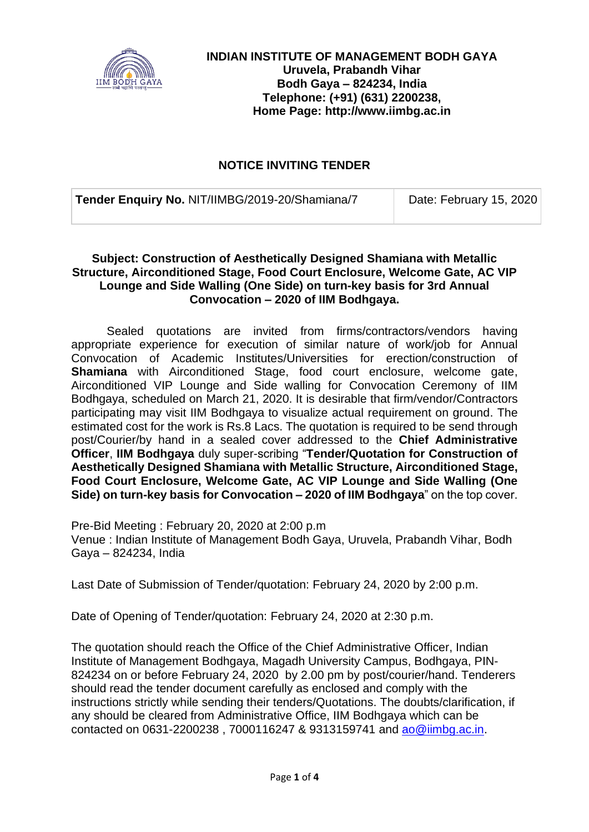

### **NOTICE INVITING TENDER**

**Tender Enquiry No. NIT/IIMBG/2019-20/Shamiana/7 Date: February 15, 2020** 

#### **Subject: Construction of Aesthetically Designed Shamiana with Metallic Structure, Airconditioned Stage, Food Court Enclosure, Welcome Gate, AC VIP Lounge and Side Walling (One Side) on turn-key basis for 3rd Annual Convocation – 2020 of IIM Bodhgaya.**

Sealed quotations are invited from firms/contractors/vendors having appropriate experience for execution of similar nature of work/job for Annual Convocation of Academic Institutes/Universities for erection/construction of **Shamiana** with Airconditioned Stage, food court enclosure, welcome gate, Airconditioned VIP Lounge and Side walling for Convocation Ceremony of IIM Bodhgaya, scheduled on March 21, 2020. It is desirable that firm/vendor/Contractors participating may visit IIM Bodhgaya to visualize actual requirement on ground. The estimated cost for the work is Rs.8 Lacs. The quotation is required to be send through post/Courier/by hand in a sealed cover addressed to the **Chief Administrative Officer**, **IIM Bodhgaya** duly super-scribing "**Tender/Quotation for Construction of Aesthetically Designed Shamiana with Metallic Structure, Airconditioned Stage, Food Court Enclosure, Welcome Gate, AC VIP Lounge and Side Walling (One Side) on turn-key basis for Convocation – 2020 of IIM Bodhgaya**" on the top cover.

Pre-Bid Meeting : February 20, 2020 at 2:00 p.m Venue : Indian Institute of Management Bodh Gaya, Uruvela, Prabandh Vihar, Bodh Gaya – 824234, India

Last Date of Submission of Tender/quotation: February 24, 2020 by 2:00 p.m.

Date of Opening of Tender/quotation: February 24, 2020 at 2:30 p.m.

The quotation should reach the Office of the Chief Administrative Officer, Indian Institute of Management Bodhgaya, Magadh University Campus, Bodhgaya, PIN-824234 on or before February 24, 2020 by 2.00 pm by post/courier/hand. Tenderers should read the tender document carefully as enclosed and comply with the instructions strictly while sending their tenders/Quotations. The doubts/clarification, if any should be cleared from Administrative Office, IIM Bodhgaya which can be contacted on 0631-2200238 , 7000116247 & 9313159741 and [ao@iimbg.ac.in.](mailto:ao@iimbg.ac.in)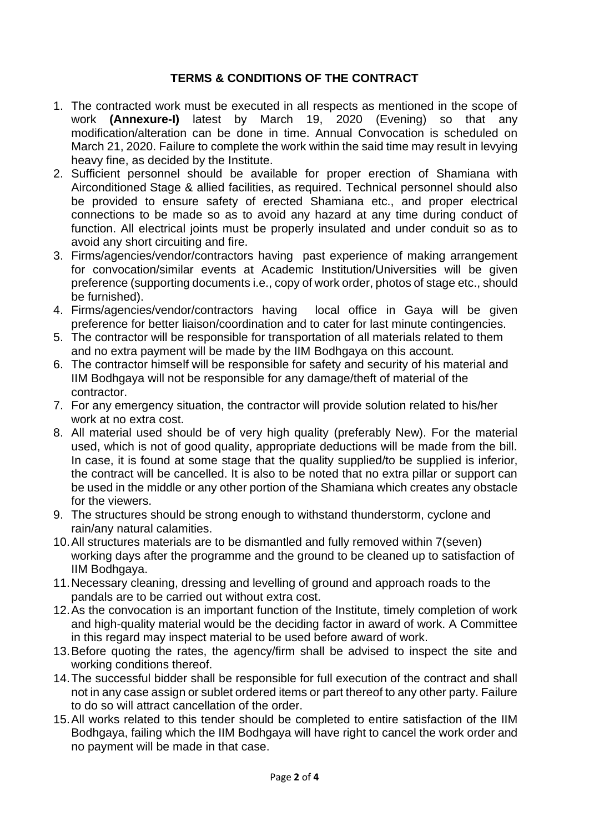### **TERMS & CONDITIONS OF THE CONTRACT**

- 1. The contracted work must be executed in all respects as mentioned in the scope of work **(Annexure-I)** latest by March 19, 2020 (Evening) so that any modification/alteration can be done in time. Annual Convocation is scheduled on March 21, 2020. Failure to complete the work within the said time may result in levying heavy fine, as decided by the Institute.
- 2. Sufficient personnel should be available for proper erection of Shamiana with Airconditioned Stage & allied facilities, as required. Technical personnel should also be provided to ensure safety of erected Shamiana etc., and proper electrical connections to be made so as to avoid any hazard at any time during conduct of function. All electrical joints must be properly insulated and under conduit so as to avoid any short circuiting and fire.
- 3. Firms/agencies/vendor/contractors having past experience of making arrangement for convocation/similar events at Academic Institution/Universities will be given preference (supporting documents i.e., copy of work order, photos of stage etc., should be furnished).
- 4. Firms/agencies/vendor/contractors having local office in Gaya will be given preference for better liaison/coordination and to cater for last minute contingencies.
- 5. The contractor will be responsible for transportation of all materials related to them and no extra payment will be made by the IIM Bodhgaya on this account.
- 6. The contractor himself will be responsible for safety and security of his material and IIM Bodhgaya will not be responsible for any damage/theft of material of the contractor.
- 7. For any emergency situation, the contractor will provide solution related to his/her work at no extra cost.
- 8. All material used should be of very high quality (preferably New). For the material used, which is not of good quality, appropriate deductions will be made from the bill. In case, it is found at some stage that the quality supplied/to be supplied is inferior, the contract will be cancelled. It is also to be noted that no extra pillar or support can be used in the middle or any other portion of the Shamiana which creates any obstacle for the viewers.
- 9. The structures should be strong enough to withstand thunderstorm, cyclone and rain/any natural calamities.
- 10.All structures materials are to be dismantled and fully removed within 7(seven) working days after the programme and the ground to be cleaned up to satisfaction of IIM Bodhgaya.
- 11.Necessary cleaning, dressing and levelling of ground and approach roads to the pandals are to be carried out without extra cost.
- 12.As the convocation is an important function of the Institute, timely completion of work and high-quality material would be the deciding factor in award of work. A Committee in this regard may inspect material to be used before award of work.
- 13.Before quoting the rates, the agency/firm shall be advised to inspect the site and working conditions thereof.
- 14.The successful bidder shall be responsible for full execution of the contract and shall not in any case assign or sublet ordered items or part thereof to any other party. Failure to do so will attract cancellation of the order.
- 15.All works related to this tender should be completed to entire satisfaction of the IIM Bodhgaya, failing which the IIM Bodhgaya will have right to cancel the work order and no payment will be made in that case.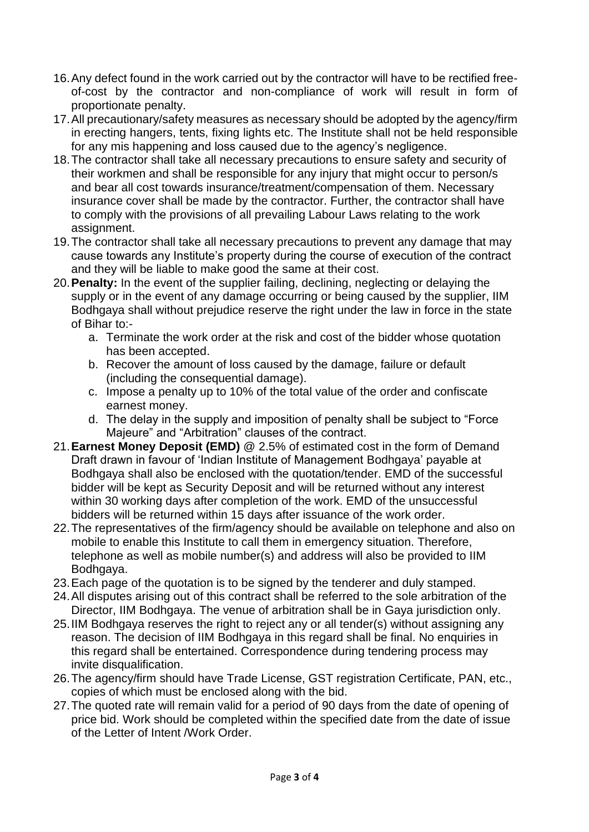- 16.Any defect found in the work carried out by the contractor will have to be rectified freeof-cost by the contractor and non-compliance of work will result in form of proportionate penalty.
- 17.All precautionary/safety measures as necessary should be adopted by the agency/firm in erecting hangers, tents, fixing lights etc. The Institute shall not be held responsible for any mis happening and loss caused due to the agency's negligence.
- 18.The contractor shall take all necessary precautions to ensure safety and security of their workmen and shall be responsible for any injury that might occur to person/s and bear all cost towards insurance/treatment/compensation of them. Necessary insurance cover shall be made by the contractor. Further, the contractor shall have to comply with the provisions of all prevailing Labour Laws relating to the work assignment.
- 19.The contractor shall take all necessary precautions to prevent any damage that may cause towards any Institute's property during the course of execution of the contract and they will be liable to make good the same at their cost.
- 20.**Penalty:** In the event of the supplier failing, declining, neglecting or delaying the supply or in the event of any damage occurring or being caused by the supplier, IIM Bodhgaya shall without prejudice reserve the right under the law in force in the state of Bihar to:
	- a. Terminate the work order at the risk and cost of the bidder whose quotation has been accepted.
	- b. Recover the amount of loss caused by the damage, failure or default (including the consequential damage).
	- c. Impose a penalty up to 10% of the total value of the order and confiscate earnest money.
	- d. The delay in the supply and imposition of penalty shall be subject to "Force Majeure" and "Arbitration" clauses of the contract.
- 21.**Earnest Money Deposit (EMD)** @ 2.5% of estimated cost in the form of Demand Draft drawn in favour of 'Indian Institute of Management Bodhgaya' payable at Bodhgaya shall also be enclosed with the quotation/tender. EMD of the successful bidder will be kept as Security Deposit and will be returned without any interest within 30 working days after completion of the work. EMD of the unsuccessful bidders will be returned within 15 days after issuance of the work order.
- 22.The representatives of the firm/agency should be available on telephone and also on mobile to enable this Institute to call them in emergency situation. Therefore, telephone as well as mobile number(s) and address will also be provided to IIM Bodhgaya.
- 23.Each page of the quotation is to be signed by the tenderer and duly stamped.
- 24.All disputes arising out of this contract shall be referred to the sole arbitration of the Director, IIM Bodhgaya. The venue of arbitration shall be in Gaya jurisdiction only.
- 25.IIM Bodhgaya reserves the right to reject any or all tender(s) without assigning any reason. The decision of IIM Bodhgaya in this regard shall be final. No enquiries in this regard shall be entertained. Correspondence during tendering process may invite disqualification.
- 26.The agency/firm should have Trade License, GST registration Certificate, PAN, etc., copies of which must be enclosed along with the bid.
- 27.The quoted rate will remain valid for a period of 90 days from the date of opening of price bid. Work should be completed within the specified date from the date of issue of the Letter of Intent /Work Order.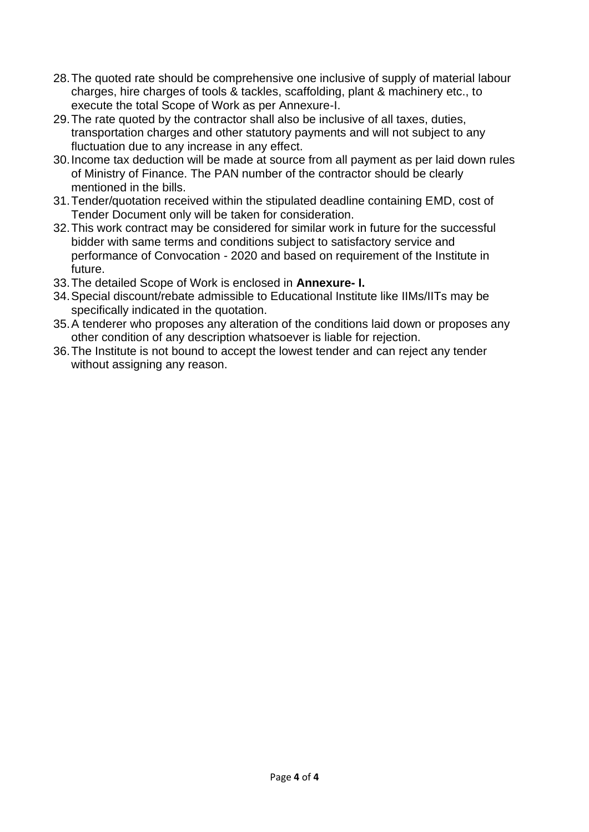- 28.The quoted rate should be comprehensive one inclusive of supply of material labour charges, hire charges of tools & tackles, scaffolding, plant & machinery etc., to execute the total Scope of Work as per Annexure-I.
- 29.The rate quoted by the contractor shall also be inclusive of all taxes, duties, transportation charges and other statutory payments and will not subject to any fluctuation due to any increase in any effect.
- 30.Income tax deduction will be made at source from all payment as per laid down rules of Ministry of Finance. The PAN number of the contractor should be clearly mentioned in the bills.
- 31.Tender/quotation received within the stipulated deadline containing EMD, cost of Tender Document only will be taken for consideration.
- 32.This work contract may be considered for similar work in future for the successful bidder with same terms and conditions subject to satisfactory service and performance of Convocation - 2020 and based on requirement of the Institute in future.
- 33.The detailed Scope of Work is enclosed in **Annexure- I.**
- 34.Special discount/rebate admissible to Educational Institute like IIMs/IITs may be specifically indicated in the quotation.
- 35.A tenderer who proposes any alteration of the conditions laid down or proposes any other condition of any description whatsoever is liable for rejection.
- 36.The Institute is not bound to accept the lowest tender and can reject any tender without assigning any reason.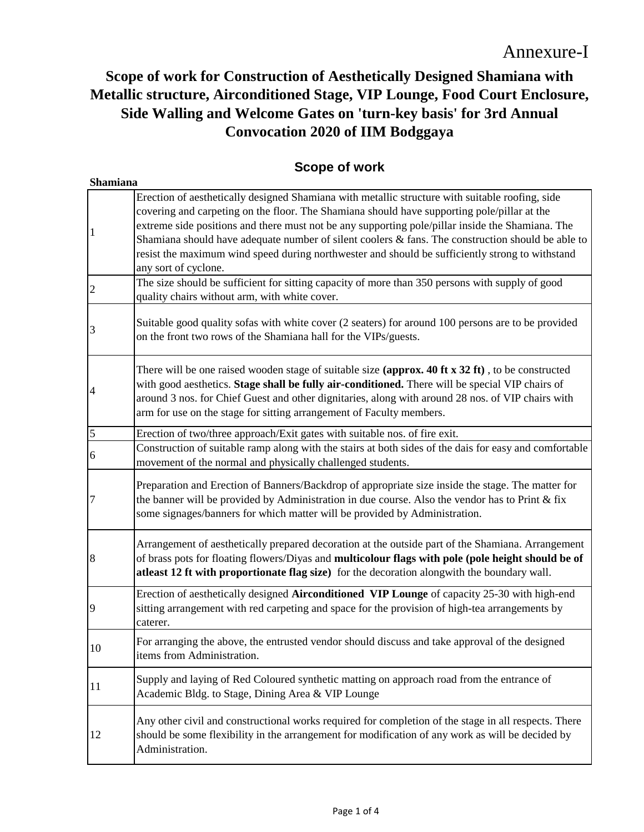# **Scope of work for Construction of Aesthetically Designed Shamiana with Metallic structure, Airconditioned Stage, VIP Lounge, Food Court Enclosure, Side Walling and Welcome Gates on 'turn-key basis' for 3rd Annual Convocation 2020 of IIM Bodggaya**

### **Scope of work**

| Shamiana       |                                                                                                                                                                                                                                                                                                                                                                                                                                                                                                                                       |  |  |
|----------------|---------------------------------------------------------------------------------------------------------------------------------------------------------------------------------------------------------------------------------------------------------------------------------------------------------------------------------------------------------------------------------------------------------------------------------------------------------------------------------------------------------------------------------------|--|--|
|                | Erection of aesthetically designed Shamiana with metallic structure with suitable roofing, side<br>covering and carpeting on the floor. The Shamiana should have supporting pole/pillar at the<br>extreme side positions and there must not be any supporting pole/pillar inside the Shamiana. The<br>Shamiana should have adequate number of silent coolers $\&$ fans. The construction should be able to<br>resist the maximum wind speed during northwester and should be sufficiently strong to withstand<br>any sort of cyclone. |  |  |
| $\overline{2}$ | The size should be sufficient for sitting capacity of more than 350 persons with supply of good<br>quality chairs without arm, with white cover.                                                                                                                                                                                                                                                                                                                                                                                      |  |  |
| 3              | Suitable good quality sofas with white cover (2 seaters) for around 100 persons are to be provided<br>on the front two rows of the Shamiana hall for the VIPs/guests.                                                                                                                                                                                                                                                                                                                                                                 |  |  |
| 4              | There will be one raised wooden stage of suitable size (approx. 40 ft x $32$ ft), to be constructed<br>with good aesthetics. Stage shall be fully air-conditioned. There will be special VIP chairs of<br>around 3 nos. for Chief Guest and other dignitaries, along with around 28 nos. of VIP chairs with<br>arm for use on the stage for sitting arrangement of Faculty members.                                                                                                                                                   |  |  |
| $\overline{5}$ | Erection of two/three approach/Exit gates with suitable nos. of fire exit.                                                                                                                                                                                                                                                                                                                                                                                                                                                            |  |  |
| 6              | Construction of suitable ramp along with the stairs at both sides of the dais for easy and comfortable<br>movement of the normal and physically challenged students.                                                                                                                                                                                                                                                                                                                                                                  |  |  |
| 7              | Preparation and Erection of Banners/Backdrop of appropriate size inside the stage. The matter for<br>the banner will be provided by Administration in due course. Also the vendor has to Print $\&$ fix<br>some signages/banners for which matter will be provided by Administration.                                                                                                                                                                                                                                                 |  |  |
| 8              | Arrangement of aesthetically prepared decoration at the outside part of the Shamiana. Arrangement<br>of brass pots for floating flowers/Diyas and multicolour flags with pole (pole height should be of<br>atleast 12 ft with proportionate flag size) for the decoration alongwith the boundary wall.                                                                                                                                                                                                                                |  |  |
| 9              | Erection of aesthetically designed Airconditioned VIP Lounge of capacity 25-30 with high-end<br>sitting arrangement with red carpeting and space for the provision of high-tea arrangements by<br>caterer.                                                                                                                                                                                                                                                                                                                            |  |  |
| 10             | For arranging the above, the entrusted vendor should discuss and take approval of the designed<br>items from Administration.                                                                                                                                                                                                                                                                                                                                                                                                          |  |  |
| 11             | Supply and laying of Red Coloured synthetic matting on approach road from the entrance of<br>Academic Bldg. to Stage, Dining Area & VIP Lounge                                                                                                                                                                                                                                                                                                                                                                                        |  |  |
| 12             | Any other civil and constructional works required for completion of the stage in all respects. There<br>should be some flexibility in the arrangement for modification of any work as will be decided by<br>Administration.                                                                                                                                                                                                                                                                                                           |  |  |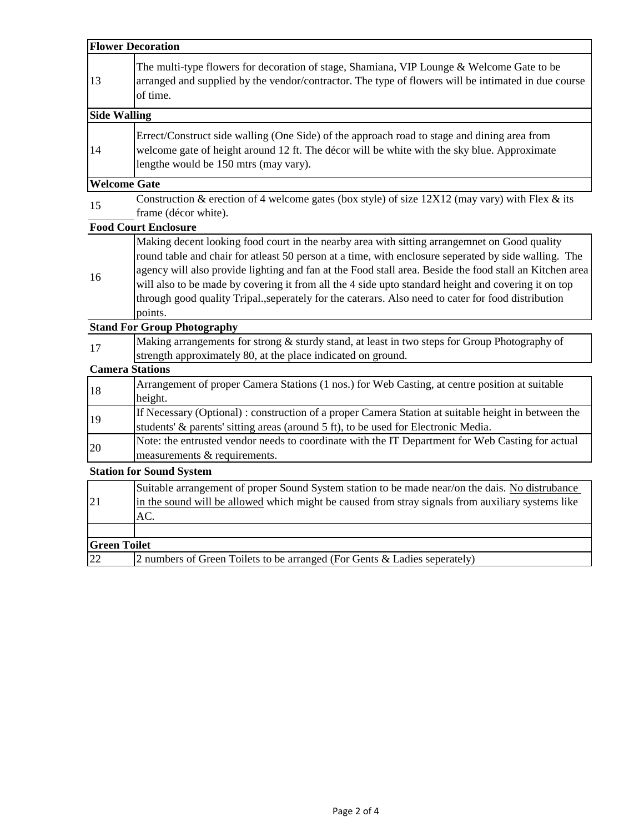| <b>Flower Decoration</b> |                                                                                                                                                                                                                                                                                                                                                                                                                                                                                                                                          |  |
|--------------------------|------------------------------------------------------------------------------------------------------------------------------------------------------------------------------------------------------------------------------------------------------------------------------------------------------------------------------------------------------------------------------------------------------------------------------------------------------------------------------------------------------------------------------------------|--|
| 13                       | The multi-type flowers for decoration of stage, Shamiana, VIP Lounge & Welcome Gate to be<br>arranged and supplied by the vendor/contractor. The type of flowers will be intimated in due course<br>of time.                                                                                                                                                                                                                                                                                                                             |  |
| <b>Side Walling</b>      |                                                                                                                                                                                                                                                                                                                                                                                                                                                                                                                                          |  |
| 14                       | Errect/Construct side walling (One Side) of the approach road to stage and dining area from<br>welcome gate of height around 12 ft. The décor will be white with the sky blue. Approximate<br>lengthe would be 150 mtrs (may vary).                                                                                                                                                                                                                                                                                                      |  |
| <b>Welcome Gate</b>      |                                                                                                                                                                                                                                                                                                                                                                                                                                                                                                                                          |  |
| 15                       | Construction & erection of 4 welcome gates (box style) of size $12X12$ (may vary) with Flex & its<br>frame (décor white).                                                                                                                                                                                                                                                                                                                                                                                                                |  |
|                          | <b>Food Court Enclosure</b>                                                                                                                                                                                                                                                                                                                                                                                                                                                                                                              |  |
| 16                       | Making decent looking food court in the nearby area with sitting arrangemnet on Good quality<br>round table and chair for atleast 50 person at a time, with enclosure seperated by side walling. The<br>agency will also provide lighting and fan at the Food stall area. Beside the food stall an Kitchen area<br>will also to be made by covering it from all the 4 side upto standard height and covering it on top<br>through good quality Tripal., seperately for the caterars. Also need to cater for food distribution<br>points. |  |
|                          | <b>Stand For Group Photography</b>                                                                                                                                                                                                                                                                                                                                                                                                                                                                                                       |  |
| 17                       | Making arrangements for strong & sturdy stand, at least in two steps for Group Photography of<br>strength approximately 80, at the place indicated on ground.                                                                                                                                                                                                                                                                                                                                                                            |  |
| <b>Camera Stations</b>   |                                                                                                                                                                                                                                                                                                                                                                                                                                                                                                                                          |  |
| 18                       | Arrangement of proper Camera Stations (1 nos.) for Web Casting, at centre position at suitable<br>height.                                                                                                                                                                                                                                                                                                                                                                                                                                |  |
| 19                       | If Necessary (Optional): construction of a proper Camera Station at suitable height in between the<br>students' & parents' sitting areas (around 5 ft), to be used for Electronic Media.                                                                                                                                                                                                                                                                                                                                                 |  |
| 20                       | Note: the entrusted vendor needs to coordinate with the IT Department for Web Casting for actual<br>measurements & requirements.                                                                                                                                                                                                                                                                                                                                                                                                         |  |
|                          | <b>Station for Sound System</b>                                                                                                                                                                                                                                                                                                                                                                                                                                                                                                          |  |
| 21                       | Suitable arrangement of proper Sound System station to be made near/on the dais. No distrubance<br>in the sound will be allowed which might be caused from stray signals from auxiliary systems like<br>AC.                                                                                                                                                                                                                                                                                                                              |  |
|                          |                                                                                                                                                                                                                                                                                                                                                                                                                                                                                                                                          |  |
| <b>Green Toilet</b>      |                                                                                                                                                                                                                                                                                                                                                                                                                                                                                                                                          |  |
| 22                       | 2 numbers of Green Toilets to be arranged (For Gents & Ladies seperately)                                                                                                                                                                                                                                                                                                                                                                                                                                                                |  |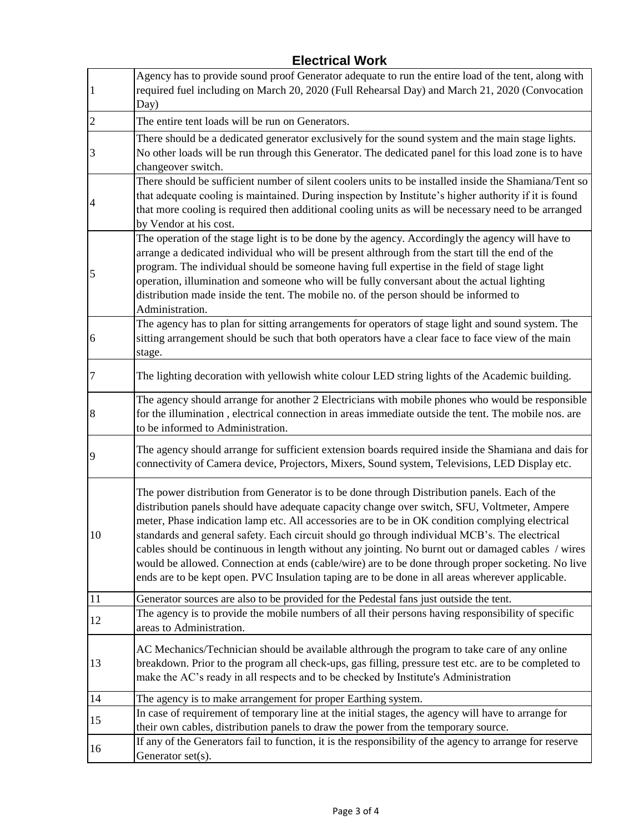| $\vert$ 1      | Agency has to provide sound proof Generator adequate to run the entire load of the tent, along with<br>required fuel including on March 20, 2020 (Full Rehearsal Day) and March 21, 2020 (Convocation<br>Day)                                                                                                                                                                                                                                                                                                                                                                                                                                                                                                     |
|----------------|-------------------------------------------------------------------------------------------------------------------------------------------------------------------------------------------------------------------------------------------------------------------------------------------------------------------------------------------------------------------------------------------------------------------------------------------------------------------------------------------------------------------------------------------------------------------------------------------------------------------------------------------------------------------------------------------------------------------|
| $\overline{2}$ | The entire tent loads will be run on Generators.                                                                                                                                                                                                                                                                                                                                                                                                                                                                                                                                                                                                                                                                  |
| 3              | There should be a dedicated generator exclusively for the sound system and the main stage lights.<br>No other loads will be run through this Generator. The dedicated panel for this load zone is to have<br>changeover switch.                                                                                                                                                                                                                                                                                                                                                                                                                                                                                   |
|                | There should be sufficient number of silent coolers units to be installed inside the Shamiana/Tent so<br>that adequate cooling is maintained. During inspection by Institute's higher authority if it is found<br>that more cooling is required then additional cooling units as will be necessary need to be arranged<br>by Vendor at his cost.                                                                                                                                                                                                                                                                                                                                                                  |
| 5              | The operation of the stage light is to be done by the agency. Accordingly the agency will have to<br>arrange a dedicated individual who will be present althrough from the start till the end of the<br>program. The individual should be someone having full expertise in the field of stage light<br>operation, illumination and someone who will be fully conversant about the actual lighting<br>distribution made inside the tent. The mobile no. of the person should be informed to<br>Administration.                                                                                                                                                                                                     |
| 6              | The agency has to plan for sitting arrangements for operators of stage light and sound system. The<br>sitting arrangement should be such that both operators have a clear face to face view of the main<br>stage.                                                                                                                                                                                                                                                                                                                                                                                                                                                                                                 |
| 7              | The lighting decoration with yellowish white colour LED string lights of the Academic building.                                                                                                                                                                                                                                                                                                                                                                                                                                                                                                                                                                                                                   |
| $\,8$          | The agency should arrange for another 2 Electricians with mobile phones who would be responsible<br>for the illumination, electrical connection in areas immediate outside the tent. The mobile nos. are<br>to be informed to Administration.                                                                                                                                                                                                                                                                                                                                                                                                                                                                     |
| 9              | The agency should arrange for sufficient extension boards required inside the Shamiana and dais for<br>connectivity of Camera device, Projectors, Mixers, Sound system, Televisions, LED Display etc.                                                                                                                                                                                                                                                                                                                                                                                                                                                                                                             |
| 10             | The power distribution from Generator is to be done through Distribution panels. Each of the<br>distribution panels should have adequate capacity change over switch, SFU, Voltmeter, Ampere<br>meter, Phase indication lamp etc. All accessories are to be in OK condition complying electrical<br>standards and general safety. Each circuit should go through individual MCB's. The electrical<br>cables should be continuous in length without any jointing. No burnt out or damaged cables / wires<br>would be allowed. Connection at ends (cable/wire) are to be done through proper socketing. No live<br>ends are to be kept open. PVC Insulation taping are to be done in all areas wherever applicable. |
| 11             | Generator sources are also to be provided for the Pedestal fans just outside the tent.                                                                                                                                                                                                                                                                                                                                                                                                                                                                                                                                                                                                                            |
| 12             | The agency is to provide the mobile numbers of all their persons having responsibility of specific<br>areas to Administration.                                                                                                                                                                                                                                                                                                                                                                                                                                                                                                                                                                                    |
| 13             | AC Mechanics/Technician should be available althrough the program to take care of any online<br>breakdown. Prior to the program all check-ups, gas filling, pressure test etc. are to be completed to<br>make the AC's ready in all respects and to be checked by Institute's Administration                                                                                                                                                                                                                                                                                                                                                                                                                      |
| 14             | The agency is to make arrangement for proper Earthing system.                                                                                                                                                                                                                                                                                                                                                                                                                                                                                                                                                                                                                                                     |
| 15             | In case of requirement of temporary line at the initial stages, the agency will have to arrange for<br>their own cables, distribution panels to draw the power from the temporary source.                                                                                                                                                                                                                                                                                                                                                                                                                                                                                                                         |
| 16             | If any of the Generators fail to function, it is the responsibility of the agency to arrange for reserve<br>Generator set(s).                                                                                                                                                                                                                                                                                                                                                                                                                                                                                                                                                                                     |

## **Electrical Work**